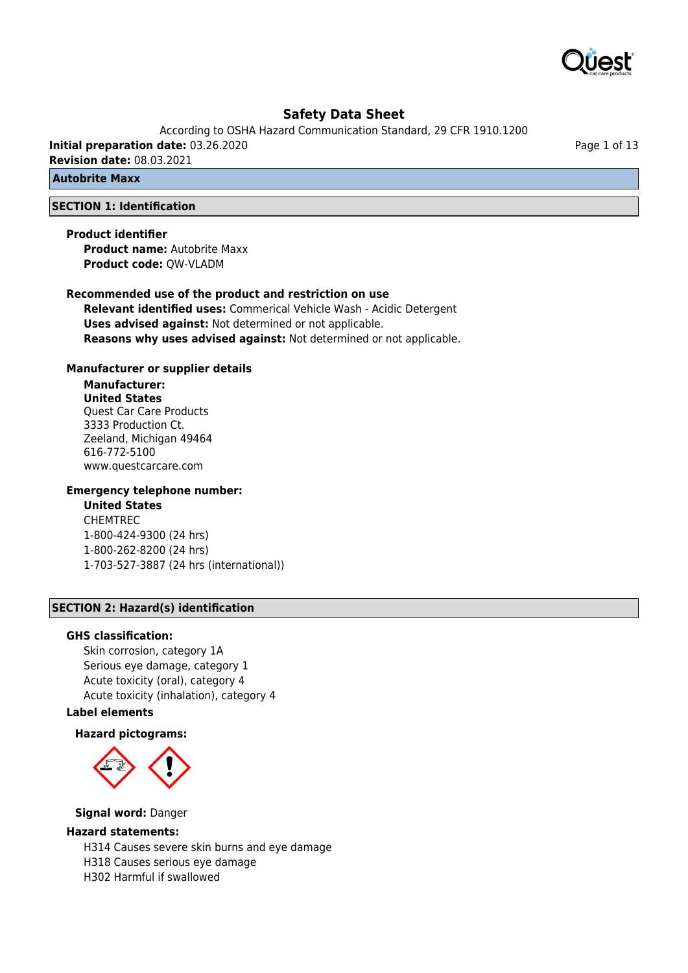

According to OSHA Hazard Communication Standard, 29 CFR 1910.1200 **Initial preparation date:** 03.26.2020 **Revision date:** 08.03.2021

**Autobrite Maxx**

## **SECTION 1: Identification**

## **Product identifier**

**Product name:** Autobrite Maxx **Product code:** QW-VLADM

### **Recommended use of the product and restriction on use**

**Relevant identified uses:** Commerical Vehicle Wash - Acidic Detergent **Uses advised against:** Not determined or not applicable. **Reasons why uses advised against:** Not determined or not applicable.

### **Manufacturer or supplier details**

## **Manufacturer: United States**

Quest Car Care Products 3333 Production Ct. Zeeland, Michigan 49464 616-772-5100 www.questcarcare.com

## **Emergency telephone number:**

## **United States**

CHEMTREC 1-800-424-9300 (24 hrs) 1-800-262-8200 (24 hrs) 1-703-527-3887 (24 hrs (international))

## **SECTION 2: Hazard(s) identification**

#### **GHS classification:**

Skin corrosion, category 1A Serious eye damage, category 1 Acute toxicity (oral), category 4 Acute toxicity (inhalation), category 4

## **Label elements**

#### **Hazard pictograms:**



#### **Signal word:** Danger

### **Hazard statements:**

H314 Causes severe skin burns and eye damage H318 Causes serious eye damage H302 Harmful if swallowed

Page 1 of 13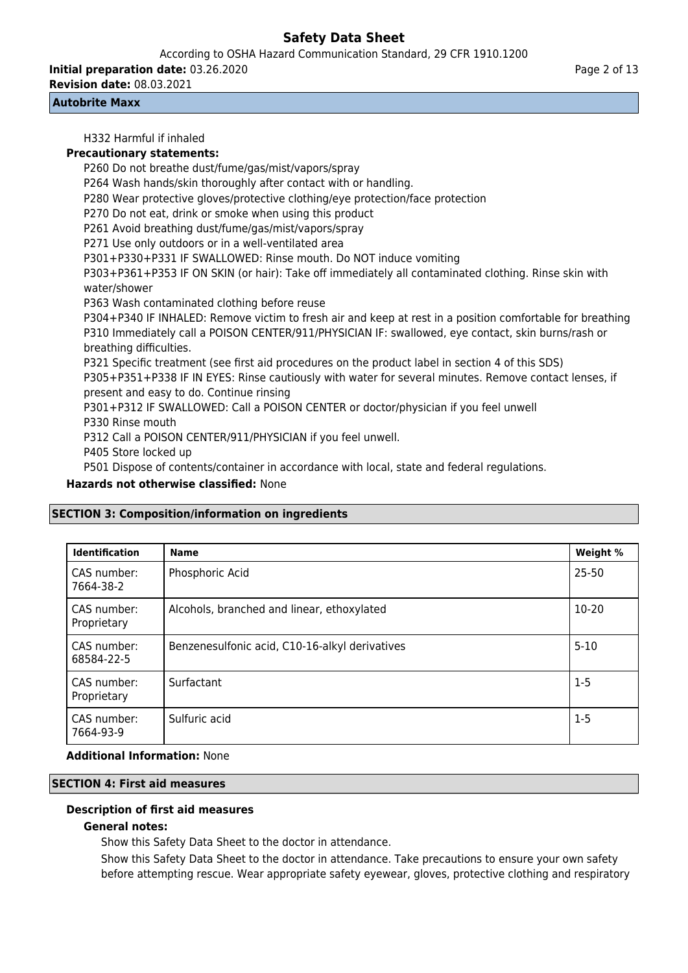According to OSHA Hazard Communication Standard, 29 CFR 1910.1200

**Initial preparation date:** 03.26.2020

**Revision date:** 08.03.2021

### **Autobrite Maxx**

H332 Harmful if inhaled **Precautionary statements:** P260 Do not breathe dust/fume/gas/mist/vapors/spray P264 Wash hands/skin thoroughly after contact with or handling. P280 Wear protective gloves/protective clothing/eye protection/face protection P270 Do not eat, drink or smoke when using this product P261 Avoid breathing dust/fume/gas/mist/vapors/spray P271 Use only outdoors or in a well-ventilated area P301+P330+P331 IF SWALLOWED: Rinse mouth. Do NOT induce vomiting P303+P361+P353 IF ON SKIN (or hair): Take off immediately all contaminated clothing. Rinse skin with water/shower P363 Wash contaminated clothing before reuse P304+P340 IF INHALED: Remove victim to fresh air and keep at rest in a position comfortable for breathing P310 Immediately call a POISON CENTER/911/PHYSICIAN IF: swallowed, eye contact, skin burns/rash or breathing difficulties. P321 Specific treatment (see first aid procedures on the product label in section 4 of this SDS) P305+P351+P338 IF IN EYES: Rinse cautiously with water for several minutes. Remove contact lenses, if present and easy to do. Continue rinsing P301+P312 IF SWALLOWED: Call a POISON CENTER or doctor/physician if you feel unwell P330 Rinse mouth P312 Call a POISON CENTER/911/PHYSICIAN if you feel unwell. P405 Store locked up

P501 Dispose of contents/container in accordance with local, state and federal regulations.

**Hazards not otherwise classified:** None

## **SECTION 3: Composition/information on ingredients**

| <b>Identification</b>      | <b>Name</b>                                    | Weight % |
|----------------------------|------------------------------------------------|----------|
| CAS number:<br>7664-38-2   | Phosphoric Acid                                | 25-50    |
| CAS number:<br>Proprietary | Alcohols, branched and linear, ethoxylated     | 10-20    |
| CAS number:<br>68584-22-5  | Benzenesulfonic acid, C10-16-alkyl derivatives | $5 - 10$ |
| CAS number:<br>Proprietary | Surfactant                                     | $1-5$    |
| CAS number:<br>7664-93-9   | Sulfuric acid                                  | $1 - 5$  |

## **Additional Information:** None

## **SECTION 4: First aid measures**

## **Description of first aid measures**

## **General notes:**

Show this Safety Data Sheet to the doctor in attendance.

Show this Safety Data Sheet to the doctor in attendance. Take precautions to ensure your own safety before attempting rescue. Wear appropriate safety eyewear, gloves, protective clothing and respiratory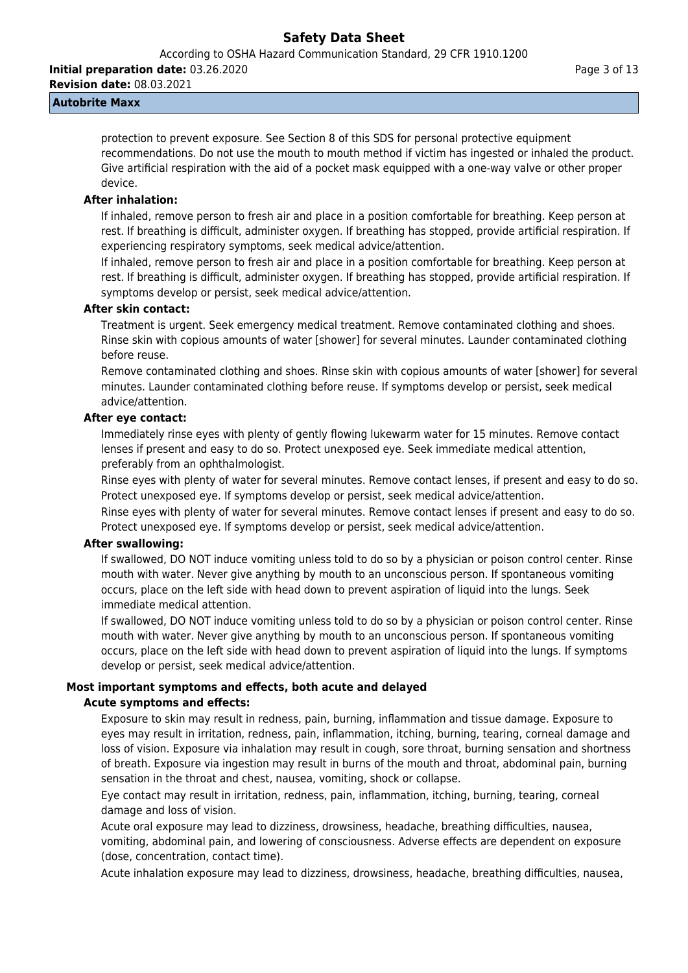According to OSHA Hazard Communication Standard, 29 CFR 1910.1200

**Initial preparation date:** 03.26.2020 **Revision date:** 08.03.2021

### **Autobrite Maxx**

protection to prevent exposure. See Section 8 of this SDS for personal protective equipment recommendations. Do not use the mouth to mouth method if victim has ingested or inhaled the product. Give artificial respiration with the aid of a pocket mask equipped with a one-way valve or other proper device.

## **After inhalation:**

If inhaled, remove person to fresh air and place in a position comfortable for breathing. Keep person at rest. If breathing is difficult, administer oxygen. If breathing has stopped, provide artificial respiration. If experiencing respiratory symptoms, seek medical advice/attention.

If inhaled, remove person to fresh air and place in a position comfortable for breathing. Keep person at rest. If breathing is difficult, administer oxygen. If breathing has stopped, provide artificial respiration. If symptoms develop or persist, seek medical advice/attention.

## **After skin contact:**

Treatment is urgent. Seek emergency medical treatment. Remove contaminated clothing and shoes. Rinse skin with copious amounts of water [shower] for several minutes. Launder contaminated clothing before reuse.

Remove contaminated clothing and shoes. Rinse skin with copious amounts of water [shower] for several minutes. Launder contaminated clothing before reuse. If symptoms develop or persist, seek medical advice/attention.

## **After eye contact:**

Immediately rinse eyes with plenty of gently flowing lukewarm water for 15 minutes. Remove contact lenses if present and easy to do so. Protect unexposed eye. Seek immediate medical attention, preferably from an ophthalmologist.

Rinse eyes with plenty of water for several minutes. Remove contact lenses, if present and easy to do so. Protect unexposed eye. If symptoms develop or persist, seek medical advice/attention.

Rinse eyes with plenty of water for several minutes. Remove contact lenses if present and easy to do so. Protect unexposed eye. If symptoms develop or persist, seek medical advice/attention.

## **After swallowing:**

If swallowed, DO NOT induce vomiting unless told to do so by a physician or poison control center. Rinse mouth with water. Never give anything by mouth to an unconscious person. If spontaneous vomiting occurs, place on the left side with head down to prevent aspiration of liquid into the lungs. Seek immediate medical attention.

If swallowed, DO NOT induce vomiting unless told to do so by a physician or poison control center. Rinse mouth with water. Never give anything by mouth to an unconscious person. If spontaneous vomiting occurs, place on the left side with head down to prevent aspiration of liquid into the lungs. If symptoms develop or persist, seek medical advice/attention.

## **Most important symptoms and effects, both acute and delayed**

## **Acute symptoms and effects:**

Exposure to skin may result in redness, pain, burning, inflammation and tissue damage. Exposure to eyes may result in irritation, redness, pain, inflammation, itching, burning, tearing, corneal damage and loss of vision. Exposure via inhalation may result in cough, sore throat, burning sensation and shortness of breath. Exposure via ingestion may result in burns of the mouth and throat, abdominal pain, burning sensation in the throat and chest, nausea, vomiting, shock or collapse.

Eye contact may result in irritation, redness, pain, inflammation, itching, burning, tearing, corneal damage and loss of vision.

Acute oral exposure may lead to dizziness, drowsiness, headache, breathing difficulties, nausea, vomiting, abdominal pain, and lowering of consciousness. Adverse effects are dependent on exposure (dose, concentration, contact time).

Acute inhalation exposure may lead to dizziness, drowsiness, headache, breathing difficulties, nausea,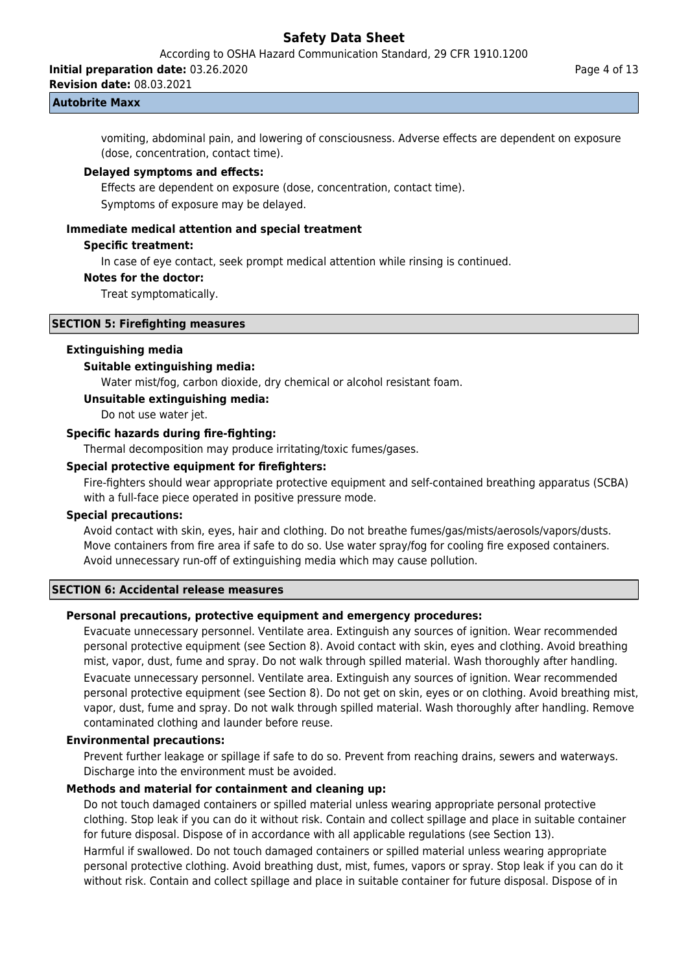According to OSHA Hazard Communication Standard, 29 CFR 1910.1200

**Initial preparation date:** 03.26.2020

**Revision date:** 08.03.2021

#### **Autobrite Maxx**

vomiting, abdominal pain, and lowering of consciousness. Adverse effects are dependent on exposure (dose, concentration, contact time).

#### **Delayed symptoms and effects:**

Effects are dependent on exposure (dose, concentration, contact time).

Symptoms of exposure may be delayed.

#### **Immediate medical attention and special treatment**

## **Specific treatment:**

In case of eye contact, seek prompt medical attention while rinsing is continued.

#### **Notes for the doctor:**

Treat symptomatically.

#### **SECTION 5: Firefighting measures**

#### **Extinguishing media**

#### **Suitable extinguishing media:**

Water mist/fog, carbon dioxide, dry chemical or alcohol resistant foam.

#### **Unsuitable extinguishing media:**

Do not use water jet.

#### **Specific hazards during fire-fighting:**

Thermal decomposition may produce irritating/toxic fumes/gases.

#### **Special protective equipment for firefighters:**

Fire-fighters should wear appropriate protective equipment and self-contained breathing apparatus (SCBA) with a full-face piece operated in positive pressure mode.

## **Special precautions:**

Avoid contact with skin, eyes, hair and clothing. Do not breathe fumes/gas/mists/aerosols/vapors/dusts. Move containers from fire area if safe to do so. Use water spray/fog for cooling fire exposed containers. Avoid unnecessary run-off of extinguishing media which may cause pollution.

#### **SECTION 6: Accidental release measures**

#### **Personal precautions, protective equipment and emergency procedures:**

Evacuate unnecessary personnel. Ventilate area. Extinguish any sources of ignition. Wear recommended personal protective equipment (see Section 8). Avoid contact with skin, eyes and clothing. Avoid breathing mist, vapor, dust, fume and spray. Do not walk through spilled material. Wash thoroughly after handling. Evacuate unnecessary personnel. Ventilate area. Extinguish any sources of ignition. Wear recommended personal protective equipment (see Section 8). Do not get on skin, eyes or on clothing. Avoid breathing mist, vapor, dust, fume and spray. Do not walk through spilled material. Wash thoroughly after handling. Remove contaminated clothing and launder before reuse.

#### **Environmental precautions:**

Prevent further leakage or spillage if safe to do so. Prevent from reaching drains, sewers and waterways. Discharge into the environment must be avoided.

### **Methods and material for containment and cleaning up:**

Do not touch damaged containers or spilled material unless wearing appropriate personal protective clothing. Stop leak if you can do it without risk. Contain and collect spillage and place in suitable container for future disposal. Dispose of in accordance with all applicable regulations (see Section 13). Harmful if swallowed. Do not touch damaged containers or spilled material unless wearing appropriate personal protective clothing. Avoid breathing dust, mist, fumes, vapors or spray. Stop leak if you can do it

without risk. Contain and collect spillage and place in suitable container for future disposal. Dispose of in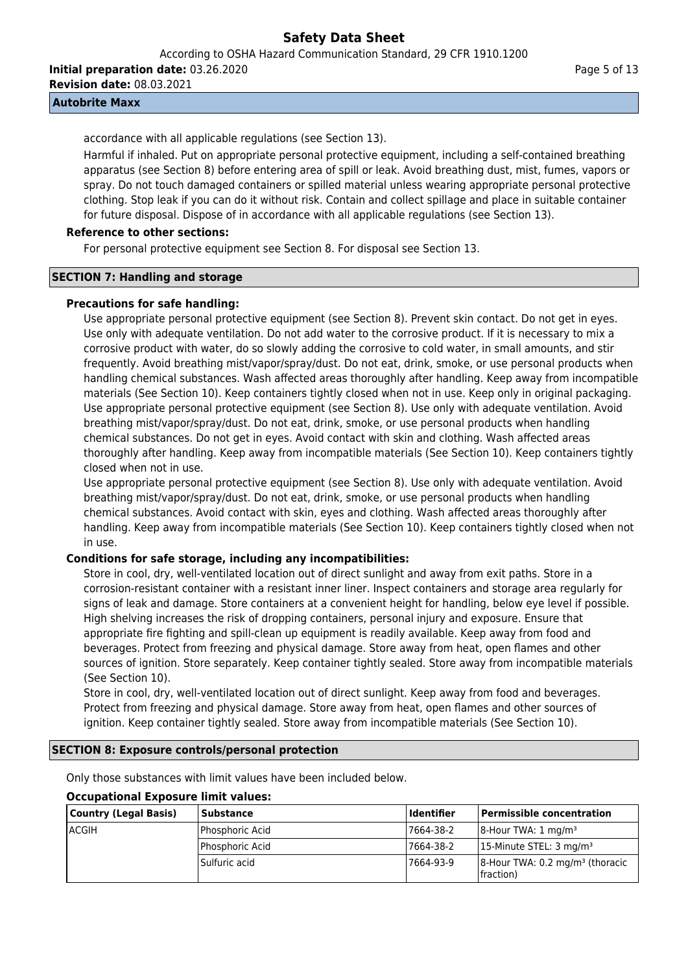According to OSHA Hazard Communication Standard, 29 CFR 1910.1200

**Initial preparation date:** 03.26.2020

**Revision date:** 08.03.2021

## **Autobrite Maxx**

accordance with all applicable regulations (see Section 13).

Harmful if inhaled. Put on appropriate personal protective equipment, including a self-contained breathing apparatus (see Section 8) before entering area of spill or leak. Avoid breathing dust, mist, fumes, vapors or spray. Do not touch damaged containers or spilled material unless wearing appropriate personal protective clothing. Stop leak if you can do it without risk. Contain and collect spillage and place in suitable container for future disposal. Dispose of in accordance with all applicable regulations (see Section 13).

## **Reference to other sections:**

For personal protective equipment see Section 8. For disposal see Section 13.

### **SECTION 7: Handling and storage**

### **Precautions for safe handling:**

Use appropriate personal protective equipment (see Section 8). Prevent skin contact. Do not get in eyes. Use only with adequate ventilation. Do not add water to the corrosive product. If it is necessary to mix a corrosive product with water, do so slowly adding the corrosive to cold water, in small amounts, and stir frequently. Avoid breathing mist/vapor/spray/dust. Do not eat, drink, smoke, or use personal products when handling chemical substances. Wash affected areas thoroughly after handling. Keep away from incompatible materials (See Section 10). Keep containers tightly closed when not in use. Keep only in original packaging. Use appropriate personal protective equipment (see Section 8). Use only with adequate ventilation. Avoid breathing mist/vapor/spray/dust. Do not eat, drink, smoke, or use personal products when handling chemical substances. Do not get in eyes. Avoid contact with skin and clothing. Wash affected areas thoroughly after handling. Keep away from incompatible materials (See Section 10). Keep containers tightly closed when not in use.

Use appropriate personal protective equipment (see Section 8). Use only with adequate ventilation. Avoid breathing mist/vapor/spray/dust. Do not eat, drink, smoke, or use personal products when handling chemical substances. Avoid contact with skin, eyes and clothing. Wash affected areas thoroughly after handling. Keep away from incompatible materials (See Section 10). Keep containers tightly closed when not in use.

## **Conditions for safe storage, including any incompatibilities:**

Store in cool, dry, well-ventilated location out of direct sunlight and away from exit paths. Store in a corrosion-resistant container with a resistant inner liner. Inspect containers and storage area regularly for signs of leak and damage. Store containers at a convenient height for handling, below eye level if possible. High shelving increases the risk of dropping containers, personal injury and exposure. Ensure that appropriate fire fighting and spill-clean up equipment is readily available. Keep away from food and beverages. Protect from freezing and physical damage. Store away from heat, open flames and other sources of ignition. Store separately. Keep container tightly sealed. Store away from incompatible materials (See Section 10).

Store in cool, dry, well-ventilated location out of direct sunlight. Keep away from food and beverages. Protect from freezing and physical damage. Store away from heat, open flames and other sources of ignition. Keep container tightly sealed. Store away from incompatible materials (See Section 10).

#### **SECTION 8: Exposure controls/personal protection**

Only those substances with limit values have been included below.

| Country (Legal Basis) | <b>Substance</b>        | <b>Identifier</b> | Permissible concentration                                   |
|-----------------------|-------------------------|-------------------|-------------------------------------------------------------|
| <b>ACGIH</b>          | <b>IPhosphoric Acid</b> | 7664-38-2         | $ 8$ -Hour TWA: 1 mg/m <sup>3</sup>                         |
|                       | Phosphoric Acid         | 7664-38-2         | 15-Minute STEL: $3 \text{ mg/m}^3$                          |
|                       | Sulfuric acid           | 7664-93-9         | $8$ -Hour TWA: 0.2 mg/m <sup>3</sup> (thoracic<br>fraction) |

# **Occupational Exposure limit values:**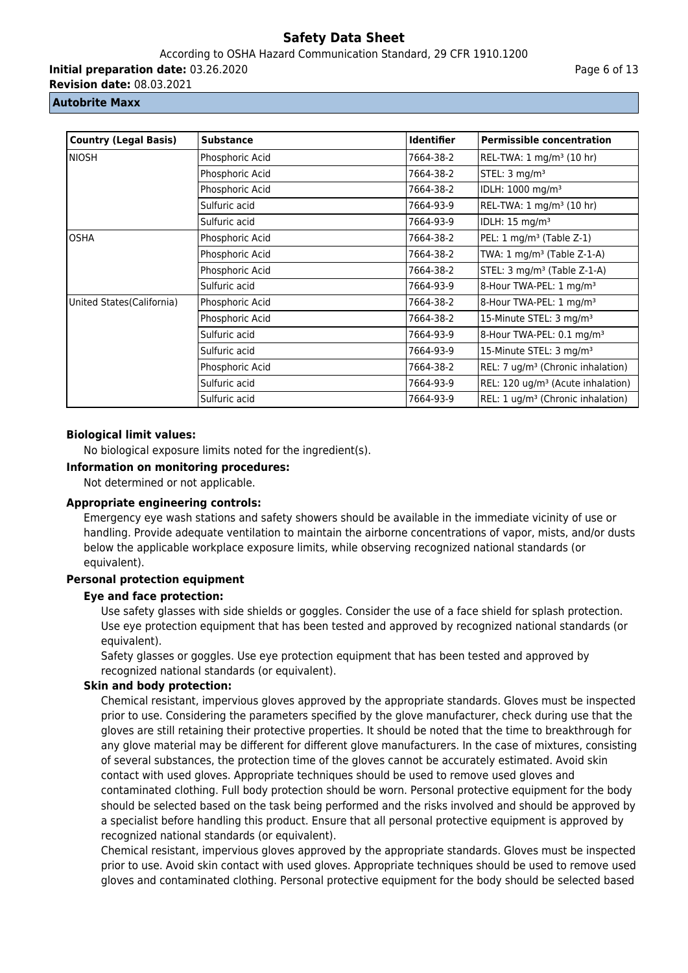According to OSHA Hazard Communication Standard, 29 CFR 1910.1200

**Initial preparation date:** 03.26.2020

**Revision date:** 08.03.2021

#### **Autobrite Maxx**

| <b>Country (Legal Basis)</b> | <b>Substance</b> | <b>Identifier</b> | <b>Permissible concentration</b>              |
|------------------------------|------------------|-------------------|-----------------------------------------------|
| NIOSH                        | Phosphoric Acid  | 7664-38-2         | REL-TWA: $1 \text{ mg/m}^3$ (10 hr)           |
|                              | Phosphoric Acid  | 7664-38-2         | STEL: 3 mg/m <sup>3</sup>                     |
|                              | Phosphoric Acid  | 7664-38-2         | IDLH: 1000 mg/m <sup>3</sup>                  |
|                              | Sulfuric acid    | 7664-93-9         | REL-TWA: 1 mg/m <sup>3</sup> (10 hr)          |
|                              | Sulfuric acid    | 7664-93-9         | IDLH: 15 mg/m <sup>3</sup>                    |
| <b>OSHA</b>                  | Phosphoric Acid  | 7664-38-2         | PEL: 1 mg/m <sup>3</sup> (Table Z-1)          |
|                              | Phosphoric Acid  | 7664-38-2         | TWA: 1 mg/m <sup>3</sup> (Table Z-1-A)        |
|                              | Phosphoric Acid  | 7664-38-2         | STEL: 3 mg/m <sup>3</sup> (Table Z-1-A)       |
|                              | Sulfuric acid    | 7664-93-9         | 8-Hour TWA-PEL: 1 mg/m <sup>3</sup>           |
| United States (California)   | Phosphoric Acid  | 7664-38-2         | 8-Hour TWA-PEL: 1 mg/m <sup>3</sup>           |
|                              | Phosphoric Acid  | 7664-38-2         | 15-Minute STEL: 3 mg/m <sup>3</sup>           |
|                              | Sulfuric acid    | 7664-93-9         | 8-Hour TWA-PEL: 0.1 mg/m <sup>3</sup>         |
|                              | Sulfuric acid    | 7664-93-9         | 15-Minute STEL: 3 mg/m <sup>3</sup>           |
|                              | Phosphoric Acid  | 7664-38-2         | REL: 7 ug/m <sup>3</sup> (Chronic inhalation) |
|                              | Sulfuric acid    | 7664-93-9         | REL: 120 ug/m <sup>3</sup> (Acute inhalation) |
|                              | Sulfuric acid    | 7664-93-9         | REL: 1 ug/m <sup>3</sup> (Chronic inhalation) |

## **Biological limit values:**

No biological exposure limits noted for the ingredient(s).

## **Information on monitoring procedures:**

Not determined or not applicable.

## **Appropriate engineering controls:**

Emergency eye wash stations and safety showers should be available in the immediate vicinity of use or handling. Provide adequate ventilation to maintain the airborne concentrations of vapor, mists, and/or dusts below the applicable workplace exposure limits, while observing recognized national standards (or equivalent).

## **Personal protection equipment**

## **Eye and face protection:**

Use safety glasses with side shields or goggles. Consider the use of a face shield for splash protection. Use eye protection equipment that has been tested and approved by recognized national standards (or equivalent).

Safety glasses or goggles. Use eye protection equipment that has been tested and approved by recognized national standards (or equivalent).

## **Skin and body protection:**

Chemical resistant, impervious gloves approved by the appropriate standards. Gloves must be inspected prior to use. Considering the parameters specified by the glove manufacturer, check during use that the gloves are still retaining their protective properties. It should be noted that the time to breakthrough for any glove material may be different for different glove manufacturers. In the case of mixtures, consisting of several substances, the protection time of the gloves cannot be accurately estimated. Avoid skin contact with used gloves. Appropriate techniques should be used to remove used gloves and contaminated clothing. Full body protection should be worn. Personal protective equipment for the body should be selected based on the task being performed and the risks involved and should be approved by a specialist before handling this product. Ensure that all personal protective equipment is approved by recognized national standards (or equivalent).

Chemical resistant, impervious gloves approved by the appropriate standards. Gloves must be inspected prior to use. Avoid skin contact with used gloves. Appropriate techniques should be used to remove used gloves and contaminated clothing. Personal protective equipment for the body should be selected based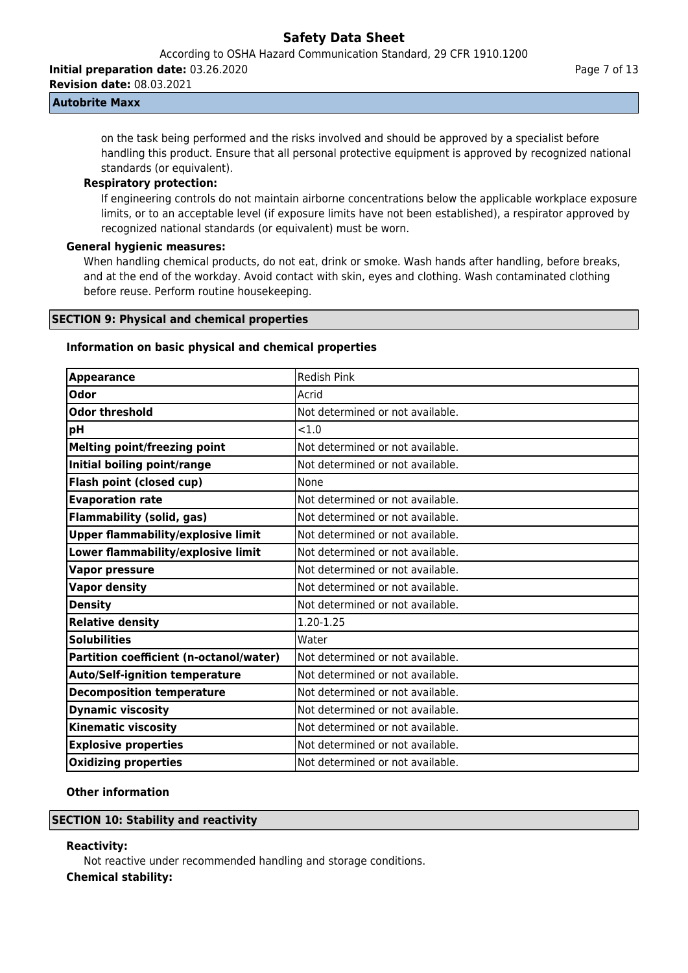According to OSHA Hazard Communication Standard, 29 CFR 1910.1200

**Initial preparation date:** 03.26.2020

**Revision date:** 08.03.2021

## **Autobrite Maxx**

on the task being performed and the risks involved and should be approved by a specialist before handling this product. Ensure that all personal protective equipment is approved by recognized national standards (or equivalent).

### **Respiratory protection:**

If engineering controls do not maintain airborne concentrations below the applicable workplace exposure limits, or to an acceptable level (if exposure limits have not been established), a respirator approved by recognized national standards (or equivalent) must be worn.

## **General hygienic measures:**

When handling chemical products, do not eat, drink or smoke. Wash hands after handling, before breaks, and at the end of the workday. Avoid contact with skin, eyes and clothing. Wash contaminated clothing before reuse. Perform routine housekeeping.

## **SECTION 9: Physical and chemical properties**

## **Information on basic physical and chemical properties**

| <b>Appearance</b>                         | <b>Redish Pink</b>               |
|-------------------------------------------|----------------------------------|
| Odor                                      | Acrid                            |
| Odor threshold                            | Not determined or not available. |
| рH                                        | < 1.0                            |
| <b>Melting point/freezing point</b>       | Not determined or not available. |
| Initial boiling point/range               | Not determined or not available. |
| Flash point (closed cup)                  | None                             |
| <b>Evaporation rate</b>                   | Not determined or not available. |
| <b>Flammability (solid, gas)</b>          | Not determined or not available. |
| <b>Upper flammability/explosive limit</b> | Not determined or not available. |
| Lower flammability/explosive limit        | Not determined or not available. |
| <b>Vapor pressure</b>                     | Not determined or not available. |
| <b>Vapor density</b>                      | Not determined or not available. |
| <b>Density</b>                            | Not determined or not available. |
| <b>Relative density</b>                   | 1.20-1.25                        |
| <b>Solubilities</b>                       | Water                            |
| Partition coefficient (n-octanol/water)   | Not determined or not available. |
| <b>Auto/Self-ignition temperature</b>     | Not determined or not available. |
| <b>Decomposition temperature</b>          | Not determined or not available. |
| <b>Dynamic viscosity</b>                  | Not determined or not available. |
| <b>Kinematic viscosity</b>                | Not determined or not available. |
| <b>Explosive properties</b>               | Not determined or not available. |
| <b>Oxidizing properties</b>               | Not determined or not available. |

## **Other information**

## **SECTION 10: Stability and reactivity**

#### **Reactivity:**

Not reactive under recommended handling and storage conditions.

## **Chemical stability:**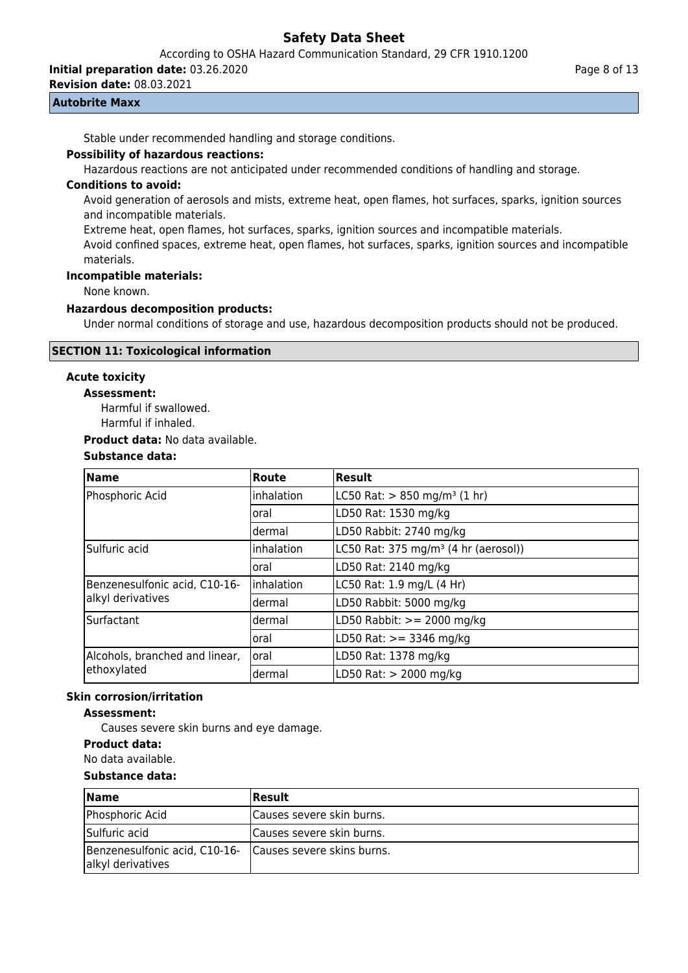According to OSHA Hazard Communication Standard, 29 CFR 1910.1200

**Initial preparation date:** 03.26.2020

**Revision date:** 08.03.2021

### **Autobrite Maxx**

Stable under recommended handling and storage conditions.

#### **Possibility of hazardous reactions:**

Hazardous reactions are not anticipated under recommended conditions of handling and storage.

### **Conditions to avoid:**

Avoid generation of aerosols and mists, extreme heat, open flames, hot surfaces, sparks, ignition sources and incompatible materials.

Extreme heat, open flames, hot surfaces, sparks, ignition sources and incompatible materials.

Avoid confined spaces, extreme heat, open flames, hot surfaces, sparks, ignition sources and incompatible materials.

#### **Incompatible materials:**

None known.

#### **Hazardous decomposition products:**

Under normal conditions of storage and use, hazardous decomposition products should not be produced.

## **SECTION 11: Toxicological information**

## **Acute toxicity**

### **Assessment:**

Harmful if swallowed.

Harmful if inhaled.

**Product data:** No data available.

## **Substance data:**

| <b>Name</b>                    | Route       | <b>Result</b>                                    |  |
|--------------------------------|-------------|--------------------------------------------------|--|
| Phosphoric Acid                | Inhalation  | LC50 Rat: $> 850$ mg/m <sup>3</sup> (1 hr)       |  |
|                                | oral        | LD50 Rat: 1530 mg/kg                             |  |
|                                | dermal      | LD50 Rabbit: 2740 mg/kg                          |  |
| Sulfuric acid                  | inhalation  | LC50 Rat: 375 mg/m <sup>3</sup> (4 hr (aerosol)) |  |
|                                | oral        | LD50 Rat: 2140 mg/kg                             |  |
| Benzenesulfonic acid, C10-16-  | linhalation | LC50 Rat: 1.9 mg/L (4 Hr)                        |  |
| alkyl derivatives              | dermal      | LD50 Rabbit: 5000 mg/kg                          |  |
| Surfactant                     | dermal      | LD50 Rabbit: $>= 2000$ mg/kg                     |  |
|                                | oral        | LD50 Rat: $> = 3346$ mg/kg                       |  |
| Alcohols, branched and linear, | Ioral       | LD50 Rat: 1378 mg/kg                             |  |
| ethoxylated                    | dermal      | LD50 Rat: > 2000 mg/kg                           |  |

#### **Skin corrosion/irritation**

#### **Assessment:**

Causes severe skin burns and eye damage.

### **Product data:**

No data available.

#### **Substance data:**

| <b>Name</b>                                        | <b> Result</b>               |
|----------------------------------------------------|------------------------------|
| Phosphoric Acid                                    | Causes severe skin burns.    |
| Sulfuric acid                                      | Causes severe skin burns.    |
| Benzenesulfonic acid, C10-16-<br>alkyl derivatives | I Causes severe skins burns. |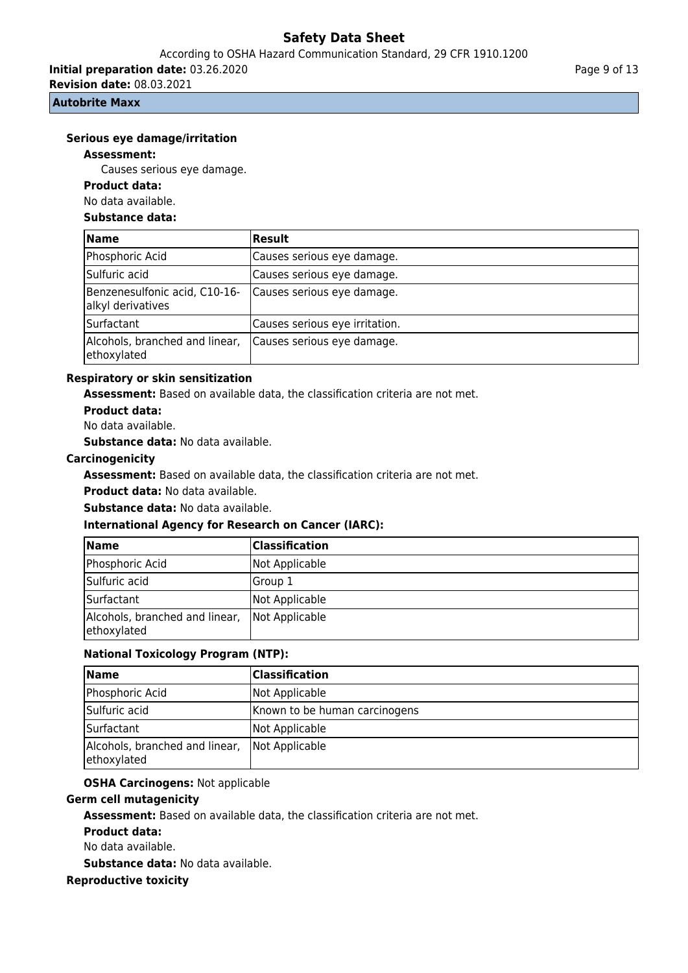According to OSHA Hazard Communication Standard, 29 CFR 1910.1200

**Initial preparation date:** 03.26.2020

**Revision date:** 08.03.2021

### **Autobrite Maxx**

### **Serious eye damage/irritation**

#### **Assessment:**

Causes serious eye damage.

## **Product data:**

No data available.

#### **Substance data:**

| Name                                               | <b>Result</b>                  |
|----------------------------------------------------|--------------------------------|
| Phosphoric Acid                                    | Causes serious eye damage.     |
| Sulfuric acid                                      | Causes serious eye damage.     |
| Benzenesulfonic acid, C10-16-<br>alkyl derivatives | Causes serious eye damage.     |
| Surfactant                                         | Causes serious eye irritation. |
| Alcohols, branched and linear,<br>ethoxylated      | Causes serious eye damage.     |

#### **Respiratory or skin sensitization**

**Assessment:** Based on available data, the classification criteria are not met.

**Product data:**

No data available.

**Substance data:** No data available.

### **Carcinogenicity**

**Assessment:** Based on available data, the classification criteria are not met.

**Product data:** No data available.

**Substance data:** No data available.

### **International Agency for Research on Cancer (IARC):**

| <b>Name</b>                                   | Classification |
|-----------------------------------------------|----------------|
| Phosphoric Acid                               | Not Applicable |
| Sulfuric acid                                 | Group 1        |
| Surfactant                                    | Not Applicable |
| Alcohols, branched and linear,<br>ethoxylated | Not Applicable |

## **National Toxicology Program (NTP):**

| <b>Name</b>                                   | Classification                |
|-----------------------------------------------|-------------------------------|
| Phosphoric Acid                               | Not Applicable                |
| Sulfuric acid                                 | Known to be human carcinogens |
| Surfactant                                    | Not Applicable                |
| Alcohols, branched and linear,<br>ethoxylated | Not Applicable                |

## **OSHA Carcinogens:** Not applicable

#### **Germ cell mutagenicity**

**Assessment:** Based on available data, the classification criteria are not met.

**Product data:**

No data available.

**Substance data:** No data available.

#### **Reproductive toxicity**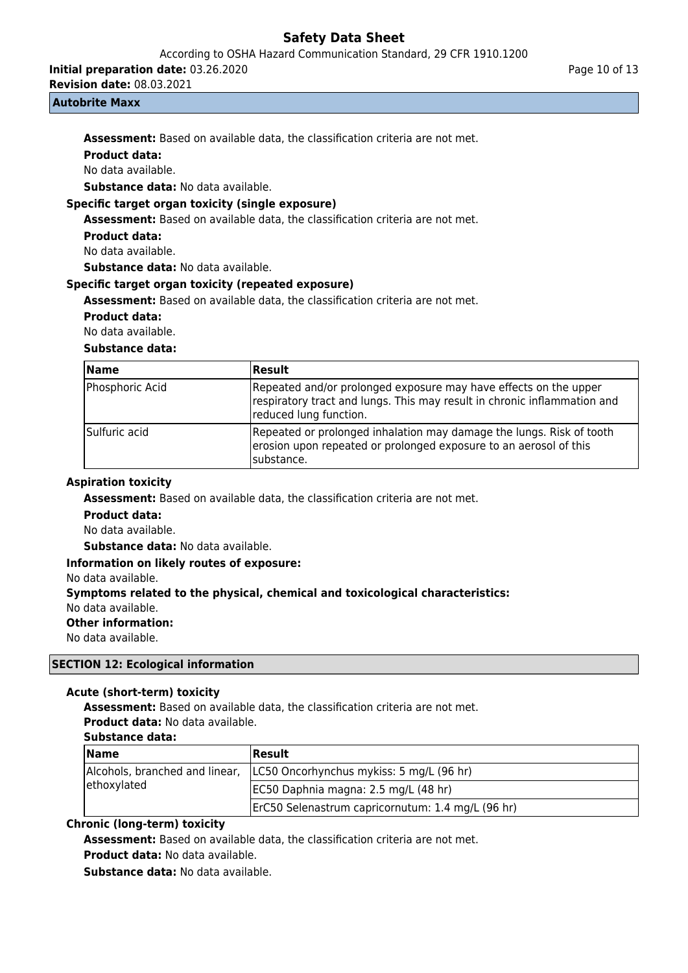According to OSHA Hazard Communication Standard, 29 CFR 1910.1200

**Initial preparation date:** 03.26.2020

**Revision date:** 08.03.2021

#### **Autobrite Maxx**

**Assessment:** Based on available data, the classification criteria are not met.

## **Product data:**

No data available.

**Substance data:** No data available.

## **Specific target organ toxicity (single exposure)**

**Assessment:** Based on available data, the classification criteria are not met.

## **Product data:**

No data available.

**Substance data:** No data available.

### **Specific target organ toxicity (repeated exposure)**

**Assessment:** Based on available data, the classification criteria are not met.

### **Product data:**

No data available.

### **Substance data:**

| <b>Name</b>     | Result                                                                                                                                                                 |
|-----------------|------------------------------------------------------------------------------------------------------------------------------------------------------------------------|
| Phosphoric Acid | Repeated and/or prolonged exposure may have effects on the upper<br>respiratory tract and lungs. This may result in chronic inflammation and<br>reduced lung function. |
| Sulfuric acid   | Repeated or prolonged inhalation may damage the lungs. Risk of tooth<br>erosion upon repeated or prolonged exposure to an aerosol of this<br>Isubstance.               |

#### **Aspiration toxicity**

**Assessment:** Based on available data, the classification criteria are not met.

#### **Product data:**

No data available.

**Substance data:** No data available.

### **Information on likely routes of exposure:**

No data available.

## **Symptoms related to the physical, chemical and toxicological characteristics:**

No data available.

#### **Other information:**

No data available.

## **SECTION 12: Ecological information**

## **Acute (short-term) toxicity**

**Assessment:** Based on available data, the classification criteria are not met.

**Product data:** No data available.

## **Substance data:**

| <b>Name</b>                                   | Result                                            |
|-----------------------------------------------|---------------------------------------------------|
| Alcohols, branched and linear,<br>ethoxylated | LC50 Oncorhynchus mykiss: 5 mg/L (96 hr)          |
|                                               | EC50 Daphnia magna: 2.5 mg/L (48 hr)              |
|                                               | ErC50 Selenastrum capricornutum: 1.4 mg/L (96 hr) |

## **Chronic (long-term) toxicity**

**Assessment:** Based on available data, the classification criteria are not met.

**Product data:** No data available.

**Substance data:** No data available.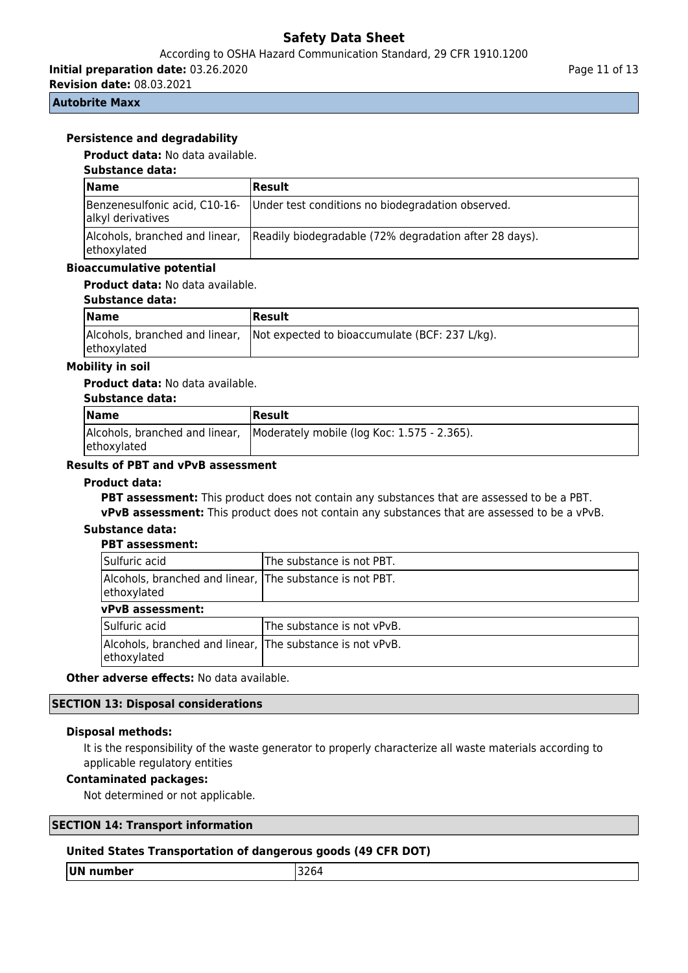## According to OSHA Hazard Communication Standard, 29 CFR 1910.1200

**Initial preparation date:** 03.26.2020

**Revision date:** 08.03.2021

### **Autobrite Maxx**

## **Persistence and degradability**

**Product data:** No data available.

### **Substance data:**

| <b>Name</b>                                        | <b>Result</b>                                                                         |  |
|----------------------------------------------------|---------------------------------------------------------------------------------------|--|
| Benzenesulfonic acid, C10-16-<br>alkyl derivatives | Under test conditions no biodegradation observed.                                     |  |
| ethoxylated                                        | Alcohols, branched and linear, Readily biodegradable (72% degradation after 28 days). |  |

### **Bioaccumulative potential**

## **Product data:** No data available.

| Substance data: |  |
|-----------------|--|
|-----------------|--|

| Name        | Result                                                                        |
|-------------|-------------------------------------------------------------------------------|
| ethoxylated | Alcohols, branched and linear, Not expected to bioaccumulate (BCF: 237 L/kg). |

### **Mobility in soil**

#### **Product data:** No data available.

| Substance data: |                                                                            |  |
|-----------------|----------------------------------------------------------------------------|--|
| <b>Name</b>     | <b>Result</b>                                                              |  |
| ethoxylated     | Alcohols, branched and linear, Moderately mobile (log Koc: 1.575 - 2.365). |  |

## **Results of PBT and vPvB assessment**

#### **Product data:**

**PBT assessment:** This product does not contain any substances that are assessed to be a PBT. **vPvB assessment:** This product does not contain any substances that are assessed to be a vPvB.

#### **Substance data: PBT assessment:**

| гы азэсээшсци                                                            |                            |  |  |
|--------------------------------------------------------------------------|----------------------------|--|--|
| Sulfuric acid                                                            | The substance is not PBT.  |  |  |
| Alcohols, branched and linear, The substance is not PBT.<br>ethoxylated  |                            |  |  |
| <b>vPvB</b> assessment:                                                  |                            |  |  |
| Sulfuric acid                                                            | The substance is not vPvB. |  |  |
| Alcohols, branched and linear, The substance is not vPvB.<br>ethoxylated |                            |  |  |

**Other adverse effects:** No data available.

## **SECTION 13: Disposal considerations**

#### **Disposal methods:**

It is the responsibility of the waste generator to properly characterize all waste materials according to applicable regulatory entities

## **Contaminated packages:**

Not determined or not applicable.

## **SECTION 14: Transport information**

#### **United States Transportation of dangerous goods (49 CFR DOT)**

**UN number** 3264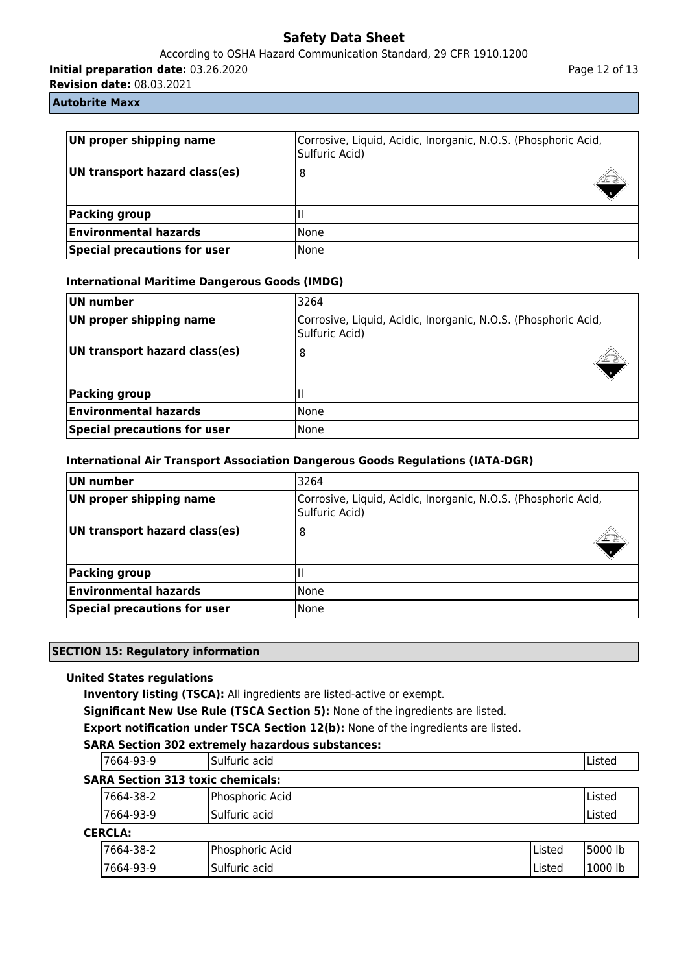## According to OSHA Hazard Communication Standard, 29 CFR 1910.1200

**Initial preparation date:** 03.26.2020

**Revision date:** 08.03.2021

### **Autobrite Maxx**

| UN proper shipping name<br>Corrosive, Liquid, Acidic, Inorganic, N.O.S. (Phosphoric Acid,<br>Sulfuric Acid) |        |  |
|-------------------------------------------------------------------------------------------------------------|--------|--|
| UN transport hazard class(es)                                                                               | 8      |  |
| Packing group                                                                                               |        |  |
| <b>Environmental hazards</b>                                                                                | l None |  |
| Special precautions for user                                                                                | l None |  |

## **International Maritime Dangerous Goods (IMDG)**

| UN number                                                                                                   | 3264   |
|-------------------------------------------------------------------------------------------------------------|--------|
| UN proper shipping name<br>Corrosive, Liquid, Acidic, Inorganic, N.O.S. (Phosphoric Acid,<br>Sulfuric Acid) |        |
| UN transport hazard class(es)                                                                               | 8      |
| <b>Packing group</b>                                                                                        |        |
| <b>Environmental hazards</b>                                                                                | l None |
| <b>Special precautions for user</b>                                                                         | None   |

## **International Air Transport Association Dangerous Goods Regulations (IATA-DGR)**

| UN number                           | 3264                                                                             |  |
|-------------------------------------|----------------------------------------------------------------------------------|--|
| UN proper shipping name             | Corrosive, Liquid, Acidic, Inorganic, N.O.S. (Phosphoric Acid,<br>Sulfuric Acid) |  |
| UN transport hazard class(es)       | 8                                                                                |  |
| Packing group                       |                                                                                  |  |
| <b>Environmental hazards</b>        | None                                                                             |  |
| <b>Special precautions for user</b> | None                                                                             |  |

## **SECTION 15: Regulatory information**

## **United States regulations**

**Inventory listing (TSCA):** All ingredients are listed-active or exempt.

**Significant New Use Rule (TSCA Section 5):** None of the ingredients are listed.

**Export notification under TSCA Section 12(b):** None of the ingredients are listed.

## **SARA Section 302 extremely hazardous substances:**

| 7664-93-9                                | Sulfuric acid   |        | Listed  |
|------------------------------------------|-----------------|--------|---------|
| <b>SARA Section 313 toxic chemicals:</b> |                 |        |         |
| 7664-38-2                                | Phosphoric Acid |        | Listed  |
| 7664-93-9                                | lSulfuric acid  |        | Listed  |
| <b>CERCLA:</b>                           |                 |        |         |
| 7664-38-2                                | Phosphoric Acid | Listed | 5000 lb |
| 7664-93-9                                | Sulfuric acid   | Listed | 1000 lb |